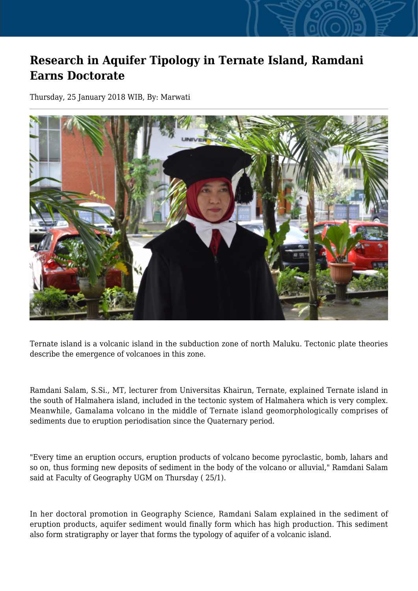## **Research in Aquifer Tipology in Ternate Island, Ramdani Earns Doctorate**

Thursday, 25 January 2018 WIB, By: Marwati



Ternate island is a volcanic island in the subduction zone of north Maluku. Tectonic plate theories describe the emergence of volcanoes in this zone.

Ramdani Salam, S.Si., MT, lecturer from Universitas Khairun, Ternate, explained Ternate island in the south of Halmahera island, included in the tectonic system of Halmahera which is very complex. Meanwhile, Gamalama volcano in the middle of Ternate island geomorphologically comprises of sediments due to eruption periodisation since the Quaternary period.

"Every time an eruption occurs, eruption products of volcano become pyroclastic, bomb, lahars and so on, thus forming new deposits of sediment in the body of the volcano or alluvial," Ramdani Salam said at Faculty of Geography UGM on Thursday ( 25/1).

In her doctoral promotion in Geography Science, Ramdani Salam explained in the sediment of eruption products, aquifer sediment would finally form which has high production. This sediment also form stratigraphy or layer that forms the typology of aquifer of a volcanic island.